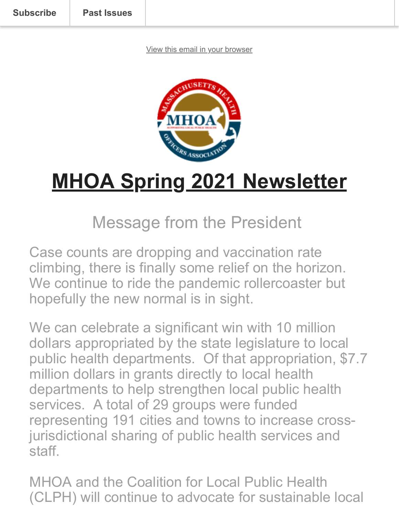[View this email in your browser](https://mailchi.mp/afaad5e298d2/mhoa-spring-newsletter?e=2a1777e274)



# **MHOA Spring 2021 Newsletter**

### Message from the President

Case counts are dropping and vaccination rate climbing, there is finally some relief on the horizon. We continue to ride the pandemic rollercoaster but hopefully the new normal is in sight.

We can celebrate a significant win with 10 million dollars appropriated by the state legislature to local public health departments. Of that appropriation, \$7.7 million dollars in grants directly to local health departments to help strengthen local public health services. A total of 29 groups were funded representing 191 cities and towns to increase crossjurisdictional sharing of public health services and staff.

MHOA and the Coalition for Local Public Health (CLPH) will continue to advocate for sustainable local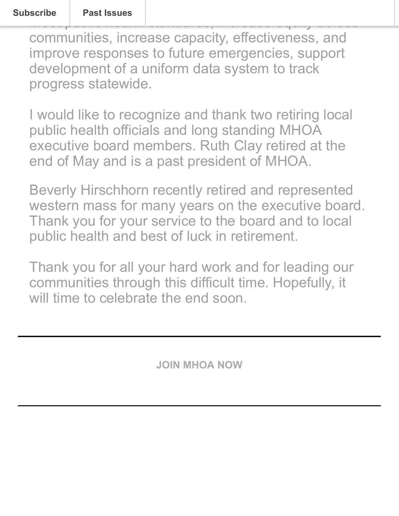meet public health standards, increase equity across communities, increase capacity, effectiveness, and improve responses to future emergencies, support development of a uniform data system to track progress statewide.

I would like to recognize and thank two retiring local public health officials and long standing MHOA executive board members. Ruth Clay retired at the end of May and is a past president of MHOA.

Beverly Hirschhorn recently retired and represented western mass for many years on the executive board. Thank you for your service to the board and to local public health and best of luck in retirement.

Thank you for all your hard work and for leading our communities through this difficult time. Hopefully, it will time to celebrate the end soon.

**[JOIN MHOA NOW](https://mhoa.com/mhoa-online-application/)**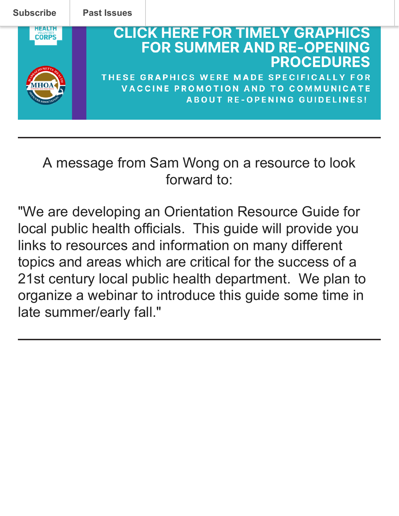

#### A message from Sam Wong on a resource to look forward to:

"We are developing an Orientation Resource Guide for local public health officials. This guide will provide you links to resources and information on many different topics and areas which are critical for the success of a 21st century local public health department. We plan to organize a webinar to introduce this guide some time in late summer/early fall."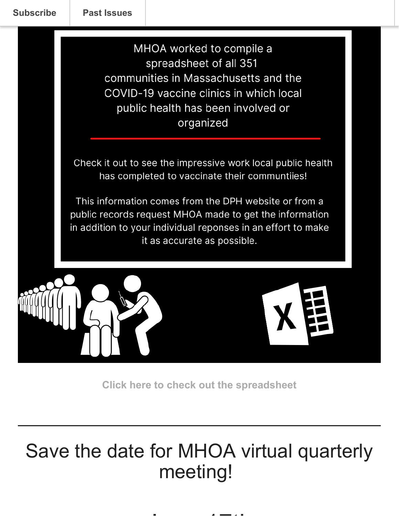MHOA worked to compile a spreadsheet of all 351 communities in Massachusetts and the COVID-19 vaccine clinics in which local public health has been involved or organized

Check it out to see the impressive work local public health has completed to vaccinate their communtiies!

This information comes from the DPH website or from a public records request MHOA made to get the information in addition to your individual reponses in an effort to make it as accurate as possible.



**[Click here to check out the spreadsheet](https://mhoa.com/lboh-vaccine-initiative-info/)**

## Save the date for MHOA virtual quarterly meeting!

J 17th St. The Company of the Company of the Company of the Company of the Company of the Company of the Company of the Company of the Company of the Company of the Company of the Company of the Company of the Company of t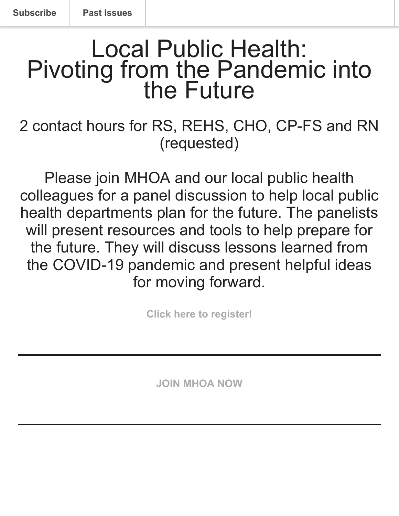## Local Public Health: Pivoting from the Pandemic into the Future

#### 2 contact hours for RS, REHS, CHO, CP-FS and RN (requested)

Please join MHOA and our local public health colleagues for a panel discussion to help local public health departments plan for the future. The panelists will present resources and tools to help prepare for the future. They will discuss lessons learned from the COVID-19 pandemic and present helpful ideas for moving forward.

**[Click here to register!](https://us02web.zoom.us/webinar/register/WN_LbRdXqIoSlqyXaeur6pGag)**

**[JOIN MHOA NOW](https://mhoa.com/mhoa-online-application/)**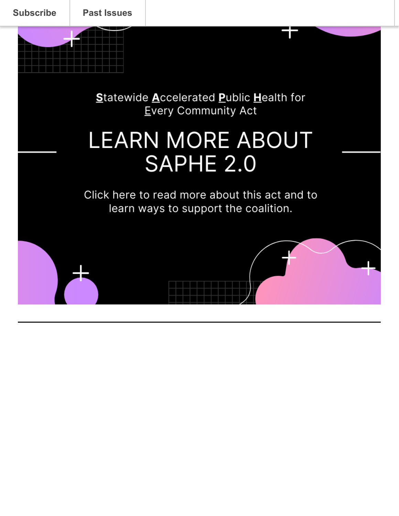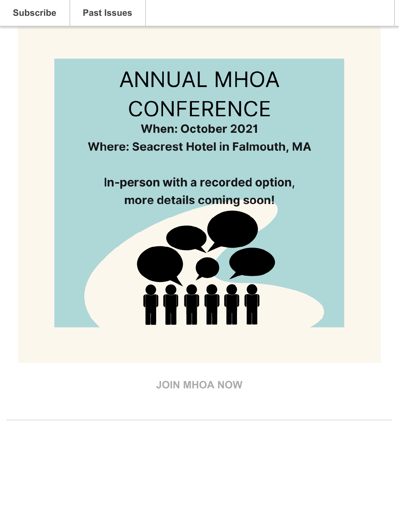# **ANNUAL MHOA CONFERENCE**

**When: October 2021 Where: Seacrest Hotel in Falmouth, MA** 

In-person with a recorded option, more details coming soon!



**[JOIN MHOA NOW](https://mhoa.com/mhoa-online-application/)**